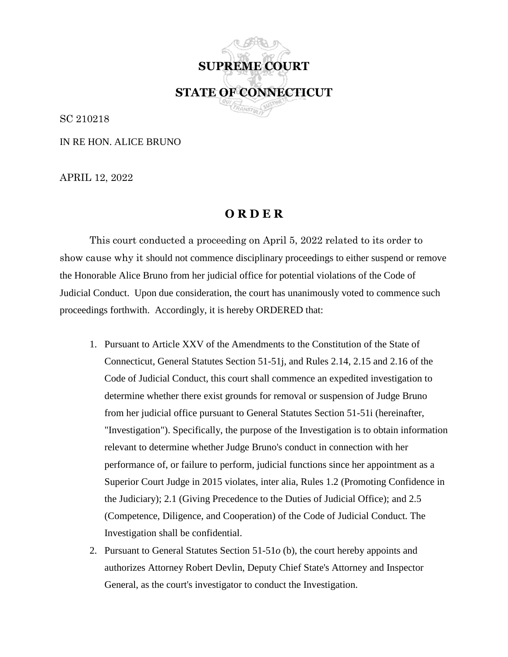**SUPREME COURT STATE OF CONNECTICUT**

SC 210218

IN RE HON. ALICE BRUNO

APRIL 12, 2022

## **O R D E R**

This court conducted a proceeding on April 5, 2022 related to its order to show cause why it should not commence disciplinary proceedings to either suspend or remove the Honorable Alice Bruno from her judicial office for potential violations of the Code of Judicial Conduct. Upon due consideration, the court has unanimously voted to commence such proceedings forthwith. Accordingly, it is hereby ORDERED that:

- 1. Pursuant to Article XXV of the Amendments to the Constitution of the State of Connecticut, General Statutes Section 51-51j, and Rules 2.14, 2.15 and 2.16 of the Code of Judicial Conduct, this court shall commence an expedited investigation to determine whether there exist grounds for removal or suspension of Judge Bruno from her judicial office pursuant to General Statutes Section 51-51i (hereinafter, "Investigation"). Specifically, the purpose of the Investigation is to obtain information relevant to determine whether Judge Bruno's conduct in connection with her performance of, or failure to perform, judicial functions since her appointment as a Superior Court Judge in 2015 violates, inter alia, Rules 1.2 (Promoting Confidence in the Judiciary); 2.1 (Giving Precedence to the Duties of Judicial Office); and 2.5 (Competence, Diligence, and Cooperation) of the Code of Judicial Conduct. The Investigation shall be confidential.
- 2. Pursuant to General Statutes Section 51-51*o* (b), the court hereby appoints and authorizes Attorney Robert Devlin, Deputy Chief State's Attorney and Inspector General, as the court's investigator to conduct the Investigation.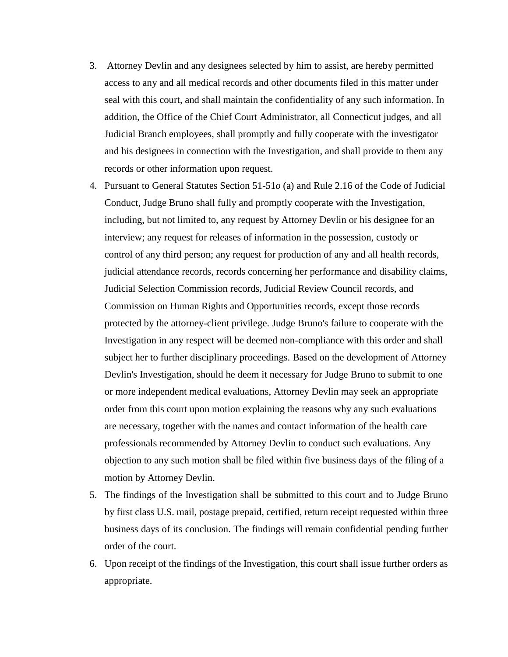- 3. Attorney Devlin and any designees selected by him to assist, are hereby permitted access to any and all medical records and other documents filed in this matter under seal with this court, and shall maintain the confidentiality of any such information. In addition, the Office of the Chief Court Administrator, all Connecticut judges, and all Judicial Branch employees, shall promptly and fully cooperate with the investigator and his designees in connection with the Investigation, and shall provide to them any records or other information upon request.
- 4. Pursuant to General Statutes Section 51-51*o* (a) and Rule 2.16 of the Code of Judicial Conduct, Judge Bruno shall fully and promptly cooperate with the Investigation, including, but not limited to, any request by Attorney Devlin or his designee for an interview; any request for releases of information in the possession, custody or control of any third person; any request for production of any and all health records, judicial attendance records, records concerning her performance and disability claims, Judicial Selection Commission records, Judicial Review Council records, and Commission on Human Rights and Opportunities records, except those records protected by the attorney-client privilege. Judge Bruno's failure to cooperate with the Investigation in any respect will be deemed non-compliance with this order and shall subject her to further disciplinary proceedings. Based on the development of Attorney Devlin's Investigation, should he deem it necessary for Judge Bruno to submit to one or more independent medical evaluations, Attorney Devlin may seek an appropriate order from this court upon motion explaining the reasons why any such evaluations are necessary, together with the names and contact information of the health care professionals recommended by Attorney Devlin to conduct such evaluations. Any objection to any such motion shall be filed within five business days of the filing of a motion by Attorney Devlin.
- 5. The findings of the Investigation shall be submitted to this court and to Judge Bruno by first class U.S. mail, postage prepaid, certified, return receipt requested within three business days of its conclusion. The findings will remain confidential pending further order of the court.
- 6. Upon receipt of the findings of the Investigation, this court shall issue further orders as appropriate.